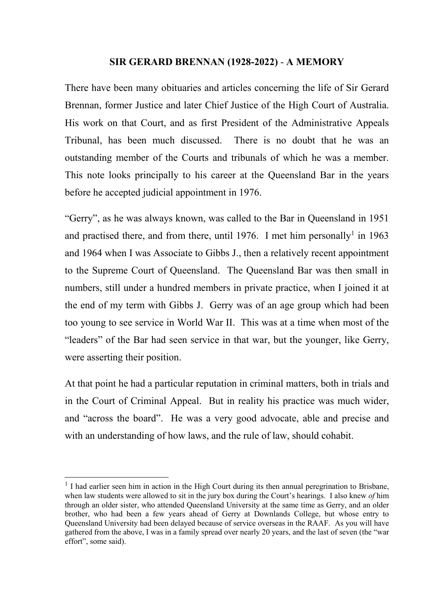## **SIR GERARD BRENNAN (1928-2022)** - **A MEMORY**

There have been many obituaries and articles concerning the life of Sir Gerard Brennan, former Justice and later Chief Justice of the High Court of Australia. His work on that Court, and as first President of the Administrative Appeals Tribunal, has been much discussed. There is no doubt that he was an outstanding member of the Courts and tribunals of which he was a member. This note looks principally to his career at the Queensland Bar in the years before he accepted judicial appointment in 1976.

"Gerry", as he was always known, was called to the Bar in Queensland in 1951 and practised there, and from there, until [1](#page-0-0)976. I met him personally<sup>1</sup> in 1963 and 1964 when I was Associate to Gibbs J., then a relatively recent appointment to the Supreme Court of Queensland. The Queensland Bar was then small in numbers, still under a hundred members in private practice, when I joined it at the end of my term with Gibbs J. Gerry was of an age group which had been too young to see service in World War II. This was at a time when most of the "leaders" of the Bar had seen service in that war, but the younger, like Gerry, were asserting their position.

At that point he had a particular reputation in criminal matters, both in trials and in the Court of Criminal Appeal. But in reality his practice was much wider, and "across the board". He was a very good advocate, able and precise and with an understanding of how laws, and the rule of law, should cohabit.

<span id="page-0-0"></span> $<sup>1</sup>$  I had earlier seen him in action in the High Court during its then annual peregrination to Brisbane,</sup> when law students were allowed to sit in the jury box during the Court's hearings. I also knew *of* him through an older sister, who attended Queensland University at the same time as Gerry, and an older brother, who had been a few years ahead of Gerry at Downlands College, but whose entry to Queensland University had been delayed because of service overseas in the RAAF. As you will have gathered from the above, I was in a family spread over nearly 20 years, and the last of seven (the "war effort", some said).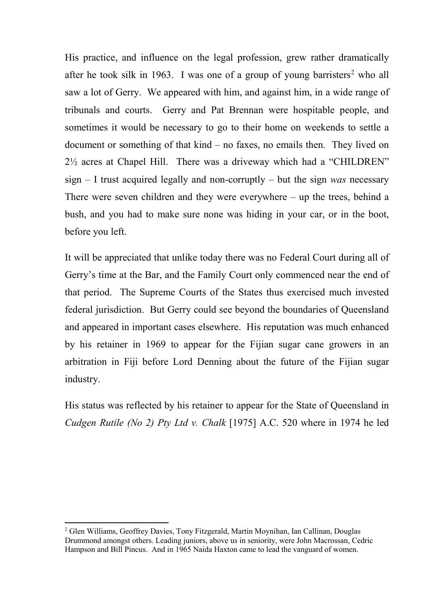His practice, and influence on the legal profession, grew rather dramatically after he took silk in 1963. I was one of a group of young barristers<sup>[2](#page-1-0)</sup> who all saw a lot of Gerry. We appeared with him, and against him, in a wide range of tribunals and courts. Gerry and Pat Brennan were hospitable people, and sometimes it would be necessary to go to their home on weekends to settle a document or something of that kind – no faxes, no emails then. They lived on 2½ acres at Chapel Hill. There was a driveway which had a "CHILDREN" sign – I trust acquired legally and non-corruptly – but the sign *was* necessary There were seven children and they were everywhere – up the trees, behind a bush, and you had to make sure none was hiding in your car, or in the boot, before you left.

It will be appreciated that unlike today there was no Federal Court during all of Gerry's time at the Bar, and the Family Court only commenced near the end of that period. The Supreme Courts of the States thus exercised much invested federal jurisdiction. But Gerry could see beyond the boundaries of Queensland and appeared in important cases elsewhere. His reputation was much enhanced by his retainer in 1969 to appear for the Fijian sugar cane growers in an arbitration in Fiji before Lord Denning about the future of the Fijian sugar industry.

His status was reflected by his retainer to appear for the State of Queensland in *Cudgen Rutile (No 2) Pty Ltd v. Chalk* [1975] A.C. 520 where in 1974 he led

<span id="page-1-0"></span> <sup>2</sup> Glen Williams, Geoffrey Davies, Tony Fitzgerald, Martin Moynihan, Ian Callinan, Douglas Drummond amongst others. Leading juniors, above us in seniority, were John Macrossan, Cedric Hampson and Bill Pincus. And in 1965 Naida Haxton came to lead the vanguard of women.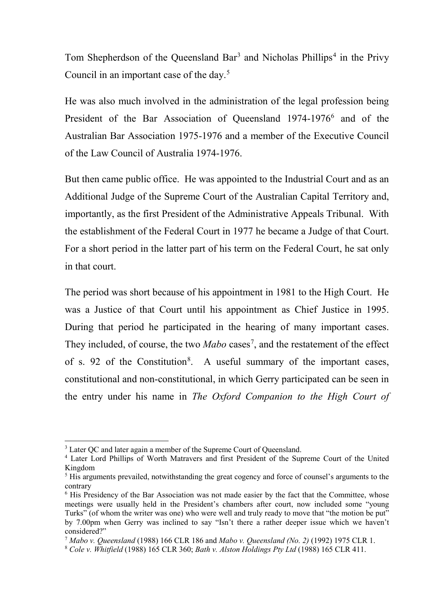Tom Shepherdson of the Queensland Bar<sup>[3](#page-2-0)</sup> and Nicholas Phillips<sup>[4](#page-2-1)</sup> in the Privy Council in an important case of the day.<sup>[5](#page-2-2)</sup>

He was also much involved in the administration of the legal profession being President of the Bar Association of Queensland 1974-1976<sup>6</sup> and of the Australian Bar Association 1975-1976 and a member of the Executive Council of the Law Council of Australia 1974-1976.

But then came public office. He was appointed to the Industrial Court and as an Additional Judge of the Supreme Court of the Australian Capital Territory and, importantly, as the first President of the Administrative Appeals Tribunal. With the establishment of the Federal Court in 1977 he became a Judge of that Court. For a short period in the latter part of his term on the Federal Court, he sat only in that court.

The period was short because of his appointment in 1981 to the High Court. He was a Justice of that Court until his appointment as Chief Justice in 1995. During that period he participated in the hearing of many important cases. They included, of course, the two *Mabo* cases<sup>[7](#page-2-4)</sup>, and the restatement of the effect of s. 92 of the Constitution<sup>[8](#page-2-5)</sup>. A useful summary of the important cases, constitutional and non-constitutional, in which Gerry participated can be seen in the entry under his name in *The Oxford Companion to the High Court of* 

<span id="page-2-0"></span><sup>&</sup>lt;sup>3</sup> Later OC and later again a member of the Supreme Court of Queensland.

<span id="page-2-1"></span><sup>4</sup> Later Lord Phillips of Worth Matravers and first President of the Supreme Court of the United Kingdom

<span id="page-2-2"></span> $<sup>5</sup>$  His arguments prevailed, notwithstanding the great cogency and force of counsel's arguments to the</sup> contrary

<span id="page-2-3"></span><sup>&</sup>lt;sup>6</sup> His Presidency of the Bar Association was not made easier by the fact that the Committee, whose meetings were usually held in the President's chambers after court, now included some "young Turks" (of whom the writer was one) who were well and truly ready to move that "the motion be put" by 7.00pm when Gerry was inclined to say "Isn't there a rather deeper issue which we haven't considered?"

<span id="page-2-4"></span><sup>7</sup> *Mabo v. Queensland* (1988) 166 CLR 186 and *Mabo v. Queensland (No. 2)* (1992) 1975 CLR 1.

<span id="page-2-5"></span><sup>8</sup> *Cole v. Whitfield* (1988) 165 CLR 360; *Bath v. Alston Holdings Pty Ltd* (1988) 165 CLR 411.